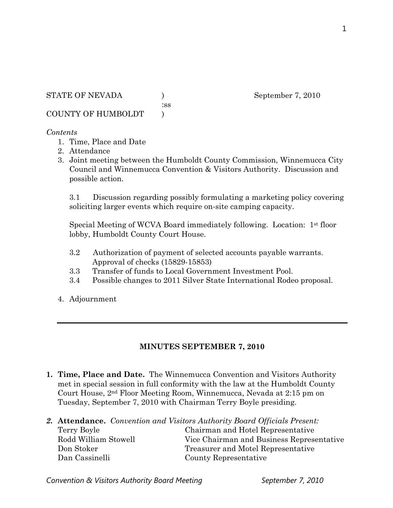:ss

COUNTY OF HUMBOLDT )

#### *Contents*

- 1. Time, Place and Date
- 2. Attendance
- 3. Joint meeting between the Humboldt County Commission, Winnemucca City Council and Winnemucca Convention & Visitors Authority. Discussion and possible action.

3.1 Discussion regarding possibly formulating a marketing policy covering soliciting larger events which require on-site camping capacity.

Special Meeting of WCVA Board immediately following. Location: 1st floor lobby, Humboldt County Court House.

- 3.2 Authorization of payment of selected accounts payable warrants. Approval of checks (15829-15853)
- 3.3 Transfer of funds to Local Government Investment Pool.
- 3.4 Possible changes to 2011 Silver State International Rodeo proposal.
- 4. Adjournment

#### **MINUTES SEPTEMBER 7, 2010**

- **1. Time, Place and Date.** The Winnemucca Convention and Visitors Authority met in special session in full conformity with the law at the Humboldt County Court House, 2nd Floor Meeting Room, Winnemucca, Nevada at 2:15 pm on Tuesday, September 7, 2010 with Chairman Terry Boyle presiding.
- *2.* **Attendance.** *Convention and Visitors Authority Board Officials Present:*  Terry Boyle Chairman and Hotel Representative Rodd William Stowell Vice Chairman and Business Representative Don Stoker Treasurer and Motel Representative Dan Cassinelli County Representative

Convention & Visitors Authority Board Meeting September 7, 2010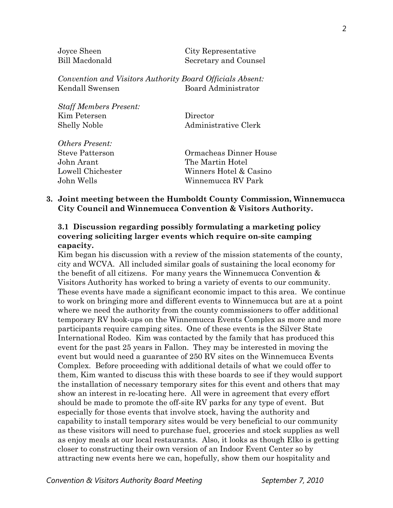Joyce Sheen City Representative Bill Macdonald Secretary and Counsel

*Convention and Visitors Authority Board Officials Absent:*  Kendall Swensen Board Administrator

*Staff Members Present:*  Kim Petersen Director Shelly Noble Administrative Clerk

*Others Present:*  John Arant The Martin Hotel

Steve Patterson Ormacheas Dinner House Lowell Chichester Winners Hotel & Casino John Wells Winnemucca RV Park

### **3. Joint meeting between the Humboldt County Commission, Winnemucca City Council and Winnemucca Convention & Visitors Authority.**

## **3.1 Discussion regarding possibly formulating a marketing policy covering soliciting larger events which require on-site camping capacity.**

Kim began his discussion with a review of the mission statements of the county, city and WCVA. All included similar goals of sustaining the local economy for the benefit of all citizens. For many years the Winnemucca Convention  $\&$ Visitors Authority has worked to bring a variety of events to our community. These events have made a significant economic impact to this area. We continue to work on bringing more and different events to Winnemucca but are at a point where we need the authority from the county commissioners to offer additional temporary RV hook-ups on the Winnemucca Events Complex as more and more participants require camping sites. One of these events is the Silver State International Rodeo. Kim was contacted by the family that has produced this event for the past 25 years in Fallon. They may be interested in moving the event but would need a guarantee of 250 RV sites on the Winnemucca Events Complex. Before proceeding with additional details of what we could offer to them, Kim wanted to discuss this with these boards to see if they would support the installation of necessary temporary sites for this event and others that may show an interest in re-locating here. All were in agreement that every effort should be made to promote the off-site RV parks for any type of event. But especially for those events that involve stock, having the authority and capability to install temporary sites would be very beneficial to our community as these visitors will need to purchase fuel, groceries and stock supplies as well as enjoy meals at our local restaurants. Also, it looks as though Elko is getting closer to constructing their own version of an Indoor Event Center so by attracting new events here we can, hopefully, show them our hospitality and

*Convention & Visitors Authority Board Meeting September 7, 2010*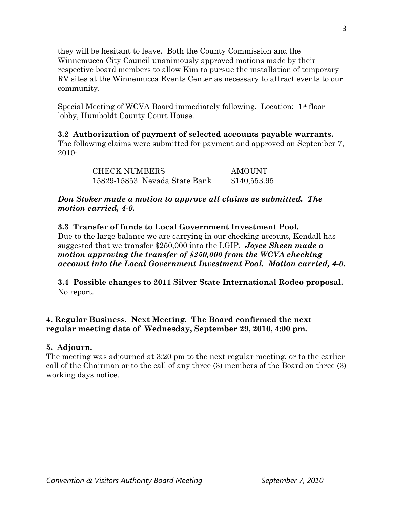they will be hesitant to leave. Both the County Commission and the Winnemucca City Council unanimously approved motions made by their respective board members to allow Kim to pursue the installation of temporary RV sites at the Winnemucca Events Center as necessary to attract events to our community.

Special Meeting of WCVA Board immediately following. Location: 1st floor lobby, Humboldt County Court House.

**3.2 Authorization of payment of selected accounts payable warrants.**  The following claims were submitted for payment and approved on September 7,  $2010$ 

> CHECK NUMBERS AMOUNT 15829-15853 Nevada State Bank \$140,553.95

*Don Stoker made a motion to approve all claims as submitted. The motion carried, 4-0.* 

**3.3 Transfer of funds to Local Government Investment Pool.**  Due to the large balance we are carrying in our checking account, Kendall has suggested that we transfer \$250,000 into the LGIP. *Joyce Sheen made a motion approving the transfer of \$250,000 from the WCVA checking account into the Local Government Investment Pool. Motion carried, 4-0.* 

**3.4 Possible changes to 2011 Silver State International Rodeo proposal.**  No report.

**4. Regular Business. Next Meeting. The Board confirmed the next regular meeting date of Wednesday, September 29, 2010, 4:00 pm.** 

# **5. Adjourn.**

The meeting was adjourned at 3:20 pm to the next regular meeting, or to the earlier call of the Chairman or to the call of any three (3) members of the Board on three (3) working days notice.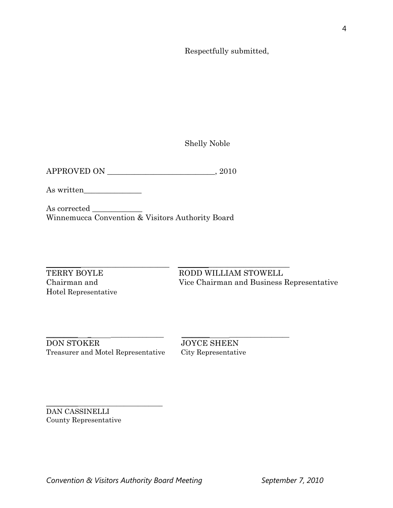Respectfully submitted,

Shelly Noble

APPROVED ON \_\_\_\_\_\_\_\_\_\_\_\_\_\_\_\_\_\_\_\_\_\_\_\_\_\_\_\_, 2010

As written\_\_\_\_\_\_\_\_\_\_\_\_\_\_\_

As corrected \_\_\_\_\_\_\_\_\_\_\_\_\_ Winnemucca Convention & Visitors Authority Board

Hotel Representative

\_\_\_\_\_\_\_\_\_\_\_\_\_\_\_\_\_\_\_\_\_\_\_\_\_\_\_\_\_\_\_\_ \_\_\_\_\_\_\_\_\_\_\_\_\_\_\_\_\_\_\_\_\_\_\_\_\_\_\_\_\_ TERRY BOYLE RODD WILLIAM STOWELL Chairman and Vice Chairman and Business Representative

\_\_\_\_\_\_\_\_\_ \_ \_\_\_\_\_\_\_\_\_\_\_\_\_\_\_ \_\_\_\_\_\_\_\_ \_\_\_\_\_\_\_\_\_\_\_\_\_\_\_\_\_ DON STOKER JOYCE SHEEN Treasurer and Motel Representative City Representative

\_\_\_\_\_\_\_\_\_\_\_\_\_\_\_\_\_\_\_\_\_\_\_\_\_\_\_\_\_\_\_\_\_

DAN CASSINELLI County Representative